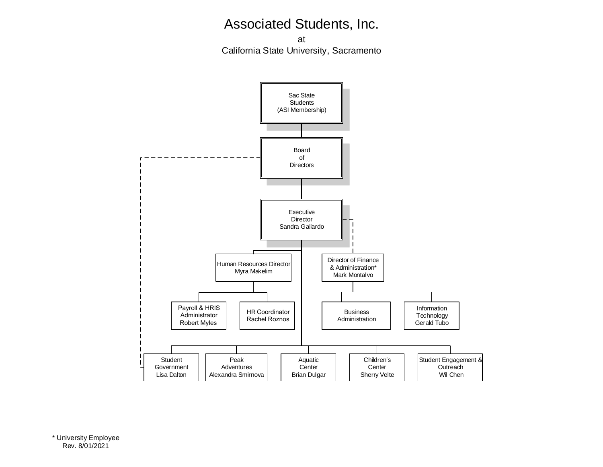at California State University, Sacramento

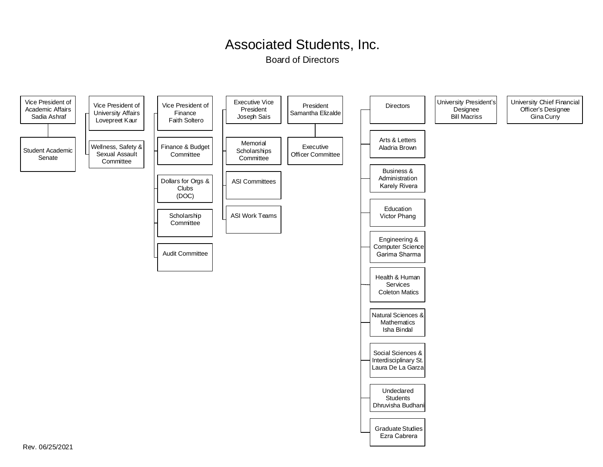Board of Directors

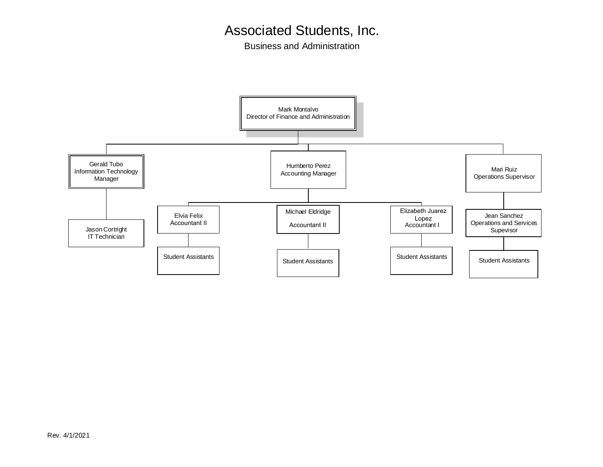Business and Administration

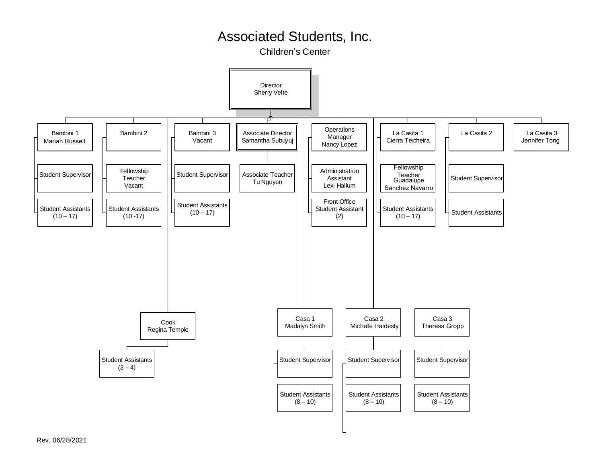Children's Center

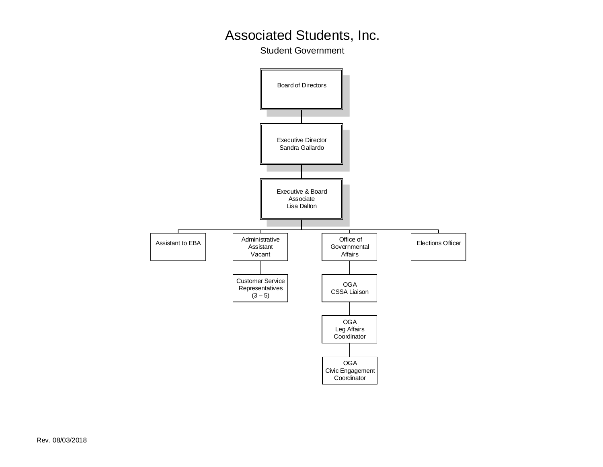Student Government

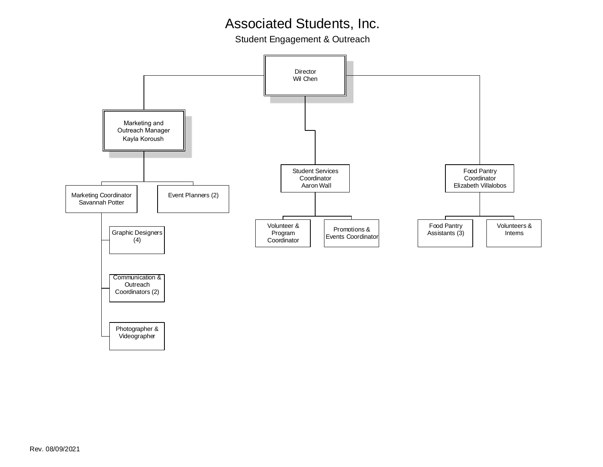Student Engagement & Outreach

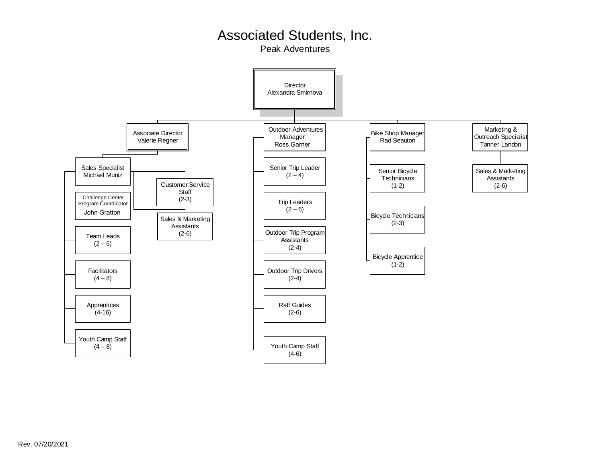Peak Adventures